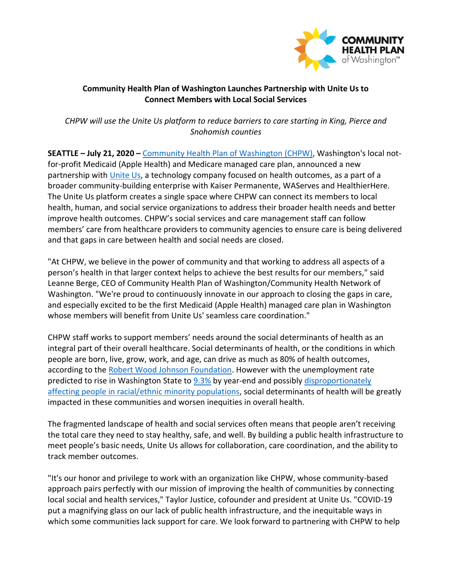

## **Community Health Plan of Washington Launches Partnership with Unite Us to Connect Members with Local Social Services**

*CHPW will use the Unite Us platform to reduce barriers to care starting in King, Pierce and Snohomish counties* 

**SEATTLE – July 21, 2020 –** [Community Health Plan of Washington \(CHPW\),](http://www.chpw.org/) Washington's local notfor-profit Medicaid (Apple Health) and Medicare managed care plan, announced a new partnership with [Unite Us,](https://uniteus.com/) a technology company focused on health outcomes, as a part of a broader community-building enterprise with Kaiser Permanente, WAServes and HealthierHere. The Unite Us platform creates a single space where CHPW can connect its members to local health, human, and social service organizations to address their broader health needs and better improve health outcomes. CHPW's social services and care management staff can follow members' care from healthcare providers to community agencies to ensure care is being delivered and that gaps in care between health and social needs are closed.

"At CHPW, we believe in the power of community and that working to address all aspects of a person's health in that larger context helps to achieve the best results for our members," said Leanne Berge, CEO of Community Health Plan of Washington/Community Health Network of Washington. "We're proud to continuously innovate in our approach to closing the gaps in care, and especially excited to be the first Medicaid (Apple Health) managed care plan in Washington whose members will benefit from Unite Us' seamless care coordination."

CHPW staff works to support members' needs around the social determinants of health as an integral part of their overall healthcare. Social determinants of health, or the conditions in which people are born, live, grow, work, and age, can drive as much as 80% of health outcomes, according to the [Robert Wood Johnson Foundation.](https://www.rwjf.org/en/library/research/2019/02/medicaid-s-role-in-addressing-social-determinants-of-health.html) However with the unemployment rate predicted to rise in Washington State to [9.3%](https://www.seattletimes.com/business/washington-state-may-need-federal-loans-to-cover-unemployment-claims-by-years-end/) by year-end and possibly [disproportionately](https://covidtracking.com/race)  [affecting people in racial/ethnic minority populations,](https://covidtracking.com/race) social determinants of health will be greatly impacted in these communities and worsen inequities in overall health.

The fragmented landscape of health and social services often means that people aren't receiving the total care they need to stay healthy, safe, and well. By building a public health infrastructure to meet people's basic needs, Unite Us allows for collaboration, care coordination, and the ability to track member outcomes.

"It's our honor and privilege to work with an organization like CHPW, whose community-based approach pairs perfectly with our mission of improving the health of communities by connecting local social and health services," Taylor Justice, cofounder and president at Unite Us. "COVID-19 put a magnifying glass on our lack of public health infrastructure, and the inequitable ways in which some communities lack support for care. We look forward to partnering with CHPW to help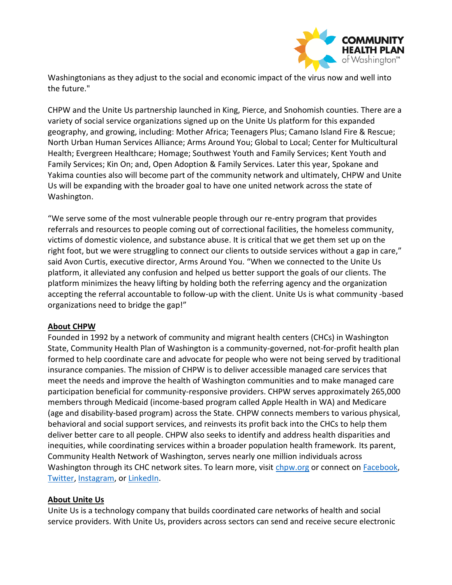

Washingtonians as they adjust to the social and economic impact of the virus now and well into the future."

CHPW and the Unite Us partnership launched in King, Pierce, and Snohomish counties. There are a variety of social service organizations signed up on the Unite Us platform for this expanded geography, and growing, including: Mother Africa; Teenagers Plus; Camano Island Fire & Rescue; North Urban Human Services Alliance; Arms Around You; Global to Local; Center for Multicultural Health; Evergreen Healthcare; Homage; Southwest Youth and Family Services; Kent Youth and Family Services; Kin On; and, Open Adoption & Family Services. Later this year, Spokane and Yakima counties also will become part of the community network and ultimately, CHPW and Unite Us will be expanding with the broader goal to have one united network across the state of Washington.

"We serve some of the most vulnerable people through our re-entry program that provides referrals and resources to people coming out of correctional facilities, the homeless community, victims of domestic violence, and substance abuse. It is critical that we get them set up on the right foot, but we were struggling to connect our clients to outside services without a gap in care," said Avon Curtis, executive director, Arms Around You. "When we connected to the Unite Us platform, it alleviated any confusion and helped us better support the goals of our clients. The platform minimizes the heavy lifting by holding both the referring agency and the organization accepting the referral accountable to follow-up with the client. Unite Us is what community -based organizations need to bridge the gap!"

## **About CHPW**

Founded in 1992 by a network of community and migrant health centers (CHCs) in Washington State, Community Health Plan of Washington is a community-governed, not-for-profit health plan formed to help coordinate care and advocate for people who were not being served by traditional insurance companies. The mission of CHPW is to deliver accessible managed care services that meet the needs and improve the health of Washington communities and to make managed care participation beneficial for community-responsive providers. CHPW serves approximately 265,000 members through Medicaid (income-based program called Apple Health in WA) and Medicare (age and disability-based program) across the State. CHPW connects members to various physical, behavioral and social support services, and reinvests its profit back into the CHCs to help them deliver better care to all people. CHPW also seeks to identify and address health disparities and inequities, while coordinating services within a broader population health framework. Its parent, Community Health Network of Washington, serves nearly one million individuals across Washington through its CHC network sites. To learn more, visit [chpw.org](https://www.chpw.org/) or connect on [Facebook,](https://www.facebook.com/CHPofWA/) [Twitter,](https://twitter.com/myCHPW) [Instagram,](https://www.instagram.com/mychpw/) or [LinkedIn.](https://www.linkedin.com/company/community-health-plan)

## **About Unite Us**

[Unite Us](https://uniteus.com/) is a technology company that builds coordinated care networks of health and social service providers. With Unite Us, providers across sectors can send and receive secure electronic